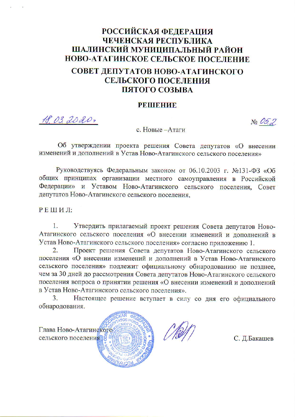## **РОССИЙСКАЯ ФЕДЕРАЦИЯ** ЧЕЧЕНСКАЯ РЕСПУБЛИКА ШАЛИНСКИЙ МУНИЦИПАЛЬНЫЙ РАЙОН НОВО-АТАГИНСКОЕ СЕЛЬСКОЕ ПОСЕЛЕНИЕ СОВЕТ ДЕПУТАТОВ НОВО-АТАГИНСКОГО

# СЕЛЬСКОГО ПОСЕЛЕНИЯ ПЯТОГО СОЗЫВА

#### **РЕШЕНИЕ**

18.03.2020,

 $N<sub>0</sub>$  05.2

#### с. Новые -Атаги

Об утверждении проекта решения Совета депутатов «О внесении изменений и дополнений в Устав Ново-Атагинского сельского поселения»

Руководствуясь Федеральным законом от 06.10.2003 г. №131-ФЗ «Об общих принципах организации местного самоуправления в Российской Федерации» и Уставом Ново-Атагинского сельского поселения, Совет депутатов Ново-Атагинского сельского поселения,

РЕШИЛ:

Утвердить прилагаемый проект решения Совета депутатов Ново- $\mathbf{1}$ Атагинского сельского поселения «О внесении изменений и дополнений в Устав Ново-Атагинского сельского поселения» согласно приложению 1.

Проект решения Совета депутатов Ново-Атагинского сельского  $\overline{2}$ . поселения «О внесении изменений и дополнений в Устав Ново-Атагинского сельского поселения» подлежит официальному обнародованию не позднее, чем за 30 дней до рассмотрения Совета депутатов Ново-Атагинского сельского поселения вопроса о принятии решения «О внесении изменений и дополнений в Устав Ново-Атагинского сельского поселения».

 $\overline{3}$ Настоящее решение вступает в силу со дня его официального обнародования.



С. Д.Бакашев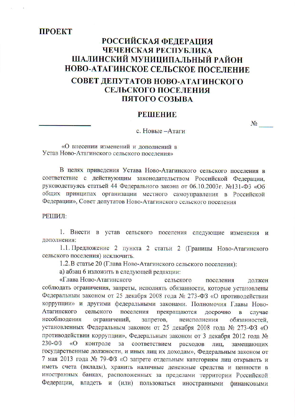### **TPOEKT**

### РОССИЙСКАЯ ФЕДЕРАЦИЯ ЧЕЧЕНСКАЯ РЕСПУБЛИКА ШАЛИНСКИЙ МУНИЦИПАЛЬНЫЙ РАЙОН НОВО-АТАГИНСКОЕ СЕЛЬСКОЕ ПОСЕЛЕНИЕ

### СОВЕТ ДЕПУТАТОВ НОВО-АТАГИНСКОГО СЕЛЬСКОГО ПОСЕЛЕНИЯ ПЯТОГО СОЗЫВА

#### **РЕШЕНИЕ**

#### с. Новые -Атаги

«О внесении изменений и дополнений в Устав Ново-Атагинского сельского поселения»

В целях приведения Устава Ново-Атагинского сельского поселения в соответствие с действующим законодательством Российской Федерации, руководствуясь статьей 44 Федерального закона от 06.10.2003г. №131-ФЗ «Об общих принципах организации местного самоуправления в Российской Федерации», Совет депутатов Ново-Атагинского сельского поселения

РЕШИЛ:

1. Внести в устав сельского поселения следующие изменения и дополнения:

1.1. Предложение 2 пункта 2 статьи 2 (Границы Ново-Атагинского сельского поселения) исключить.

1.2. В статье 20 (Глава Ново-Атагинского сельского поселения):

а) абзац 6 изложить в следующей редакции:

«Глава Ново-Атагинского сельского поселения лолжен соблюдать ограничения, запреты, исполнять обязанности, которые установлены Федеральным законом от 25 декабря 2008 года № 273-ФЗ «О противодействии коррупции» и другими федеральными законами. Полномочия Главы Новопоселения Атагинского сельского прекращаются лосрочно  $\overline{B}$ случае несоблюдения ограничений, запретов, неисполнения обязанностей. установленных Федеральным законом от 25 декабря 2008 года № 273-ФЗ «О противодействии коррупции», Федеральным законом от 3 декабря 2012 года №  $230 - 03$  $\sqrt{\langle}$ контроле за соответствием расходов лиц. замещающих государственные должности, и иных лиц их доходам», Федеральным законом от 7 мая 2013 года № 79-ФЗ «О запрете отдельным категориям лиц открывать и иметь счета (вклады), хранить наличные денежные средства и ценности в иностранных банках, расположенных за пределами территории Российской Федерации, владеть и (или) пользоваться иностранными финансовыми